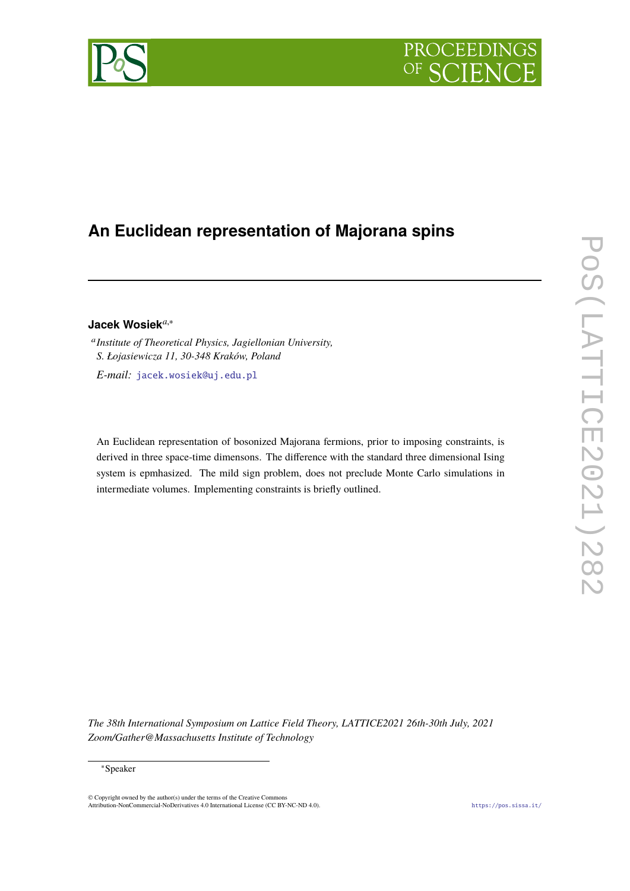

# **An Euclidean representation of Majorana spins**

# **Jacek Wosiek***a*,<sup>∗</sup>

a *Institute of Theoretical Physics, Jagiellonian University, S. Łojasiewicza 11, 30-348 Kraków, Poland E-mail:* [jacek.wosiek@uj.edu.pl](mailto:jacek.wosiek@uj.edu.pl)

An Euclidean representation of bosonized Majorana fermions, prior to imposing constraints, is derived in three space-time dimensons. The difference with the standard three dimensional Ising system is epmhasized. The mild sign problem, does not preclude Monte Carlo simulations in intermediate volumes. Implementing constraints is briefly outlined.

*The 38th International Symposium on Lattice Field Theory, LATTICE2021 26th-30th July, 2021 Zoom/Gather@Massachusetts Institute of Technology*

© Copyright owned by the author(s) under the terms of the Creative Commons Attribution-NonCommercial-NoDerivatives 4.0 International License (CC BY-NC-ND 4.0). <https://pos.sissa.it/>

<sup>∗</sup>Speaker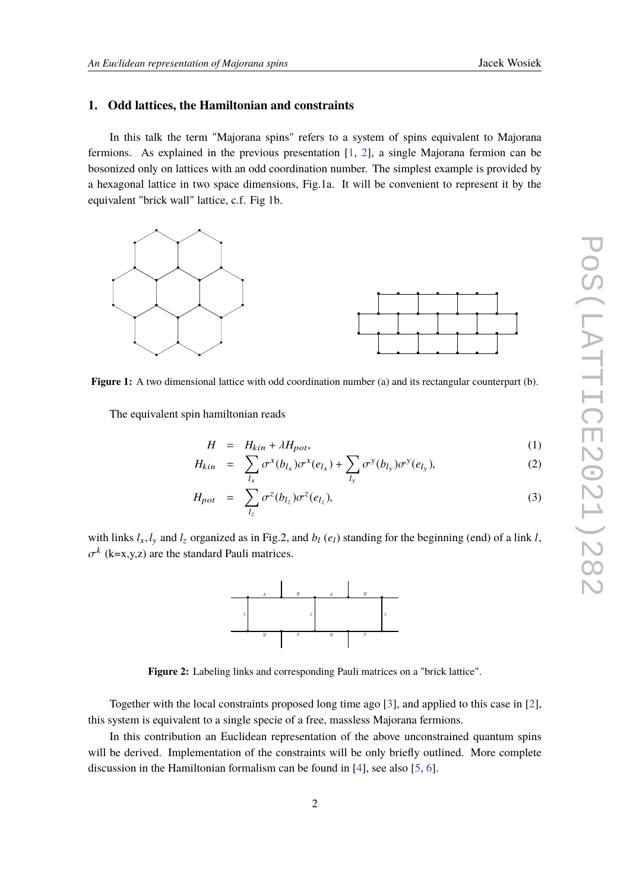### **1. Odd lattices, the Hamiltonian and constraints**

In this talk the term "Majorana spins" refers to a system of spins equivalent to Majorana fermions. As explained in the previous presentation [\[1,](#page-8-0) [2\]](#page-8-1), a single Majorana fermion can be bosonized only on lattices with an odd coordination number. The simplest example is provided by a hexagonal lattice in two space dimensions, Fig.1a. It will be convenient to represent it by the equivalent "brick wall" lattice, c.f. Fig 1b.



**Figure 1:** A two dimensional lattice with odd coordination number (a) and its rectangular counterpart (b).

The equivalent spin hamiltonian reads

<span id="page-1-0"></span>
$$
H = H_{kin} + \lambda H_{pot},\tag{1}
$$

$$
H_{kin} = \sum_{l_x} \sigma^x(b_{l_x}) \sigma^x(e_{l_x}) + \sum_{l_y} \sigma^y(b_{l_y}) \sigma^y(e_{l_y}), \qquad (2)
$$

$$
H_{pot} = \sum_{l_z} \sigma^z(b_{l_z}) \sigma^z(e_{l_z}), \qquad (3)
$$

with links  $l_x$ ,  $l_y$  and  $l_z$  organized as in Fig.2, and  $b_l$  ( $e_l$ ) standing for the beginning (end) of a link *l*,  $k$  (k=x,y,z) are the standard Pauli matrices.



**Figure 2:** Labeling links and corresponding Pauli matrices on a "brick lattice".

Together with the local constraints proposed long time ago [\[3\]](#page-8-2), and applied to this case in [\[2\]](#page-8-1), this system is equivalent to a single specie of a free, massless Majorana fermions.

In this contribution an Euclidean representation of the above unconstrained quantum spins will be derived. Implementation of the constraints will be only briefly outlined. More complete discussion in the Hamiltonian formalism can be found in [\[4\]](#page-8-3), see also [\[5,](#page-8-4) [6\]](#page-8-5).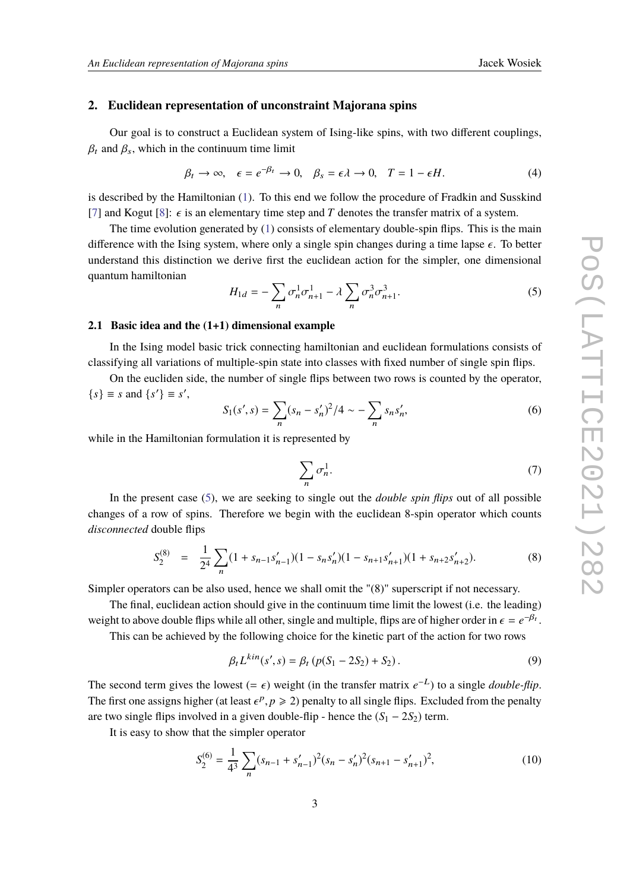### **2. Euclidean representation of unconstraint Majorana spins**

Our goal is to construct a Euclidean system of Ising-like spins, with two different couplings,  $\beta_t$  and  $\beta_s$ , which in the continuum time limit

$$
\beta_t \to \infty, \quad \epsilon = e^{-\beta_t} \to 0, \quad \beta_s = \epsilon \lambda \to 0, \quad T = 1 - \epsilon H. \tag{4}
$$

is described by the Hamiltonian [\(1\)](#page-1-0). To this end we follow the procedure of Fradkin and Susskind [\[7\]](#page-8-6) and Kogut [\[8\]](#page-8-7):  $\epsilon$  is an elementary time step and *T* denotes the transfer matrix of a system.

The time evolution generated by  $(1)$  consists of elementary double-spin flips. This is the main difference with the Ising system, where only a single spin changes during a time lapse  $\epsilon$ . To better understand this distinction we derive first the euclidean action for the simpler, one dimensional quantum hamiltonian

<span id="page-2-0"></span>
$$
H_{1d} = -\sum_{n} \sigma_n^1 \sigma_{n+1}^1 - \lambda \sum_{n} \sigma_n^3 \sigma_{n+1}^3. \tag{5}
$$

### **2.1 Basic idea and the (1+1) dimensional example**

In the Ising model basic trick connecting hamiltonian and euclidean formulations consists of classifying all variations of multiple-spin state into classes with fixed number of single spin flips.

On the eucliden side, the number of single flips between two rows is counted by the operator,  ${s} \equiv s \text{ and } {s'} \equiv s',$ 

$$
S_1(s', s) = \sum_{n} (s_n - s'_n)^2 / 4 \sim - \sum_{n} s_n s'_n,
$$
 (6)

while in the Hamiltonian formulation it is represented by

$$
\sum_{n} \sigma_n^1. \tag{7}
$$

In the present case [\(5\)](#page-2-0), we are seeking to single out the *double spin flips* out of all possible changes of a row of spins. Therefore we begin with the euclidean 8-spin operator which counts *disconnected* double flips

$$
S_2^{(8)} = \frac{1}{2^4} \sum_n (1 + s_{n-1} s'_{n-1})(1 - s_n s'_n)(1 - s_{n+1} s'_{n+1})(1 + s_{n+2} s'_{n+2}). \tag{8}
$$

Simpler operators can be also used, hence we shall omit the "(8)" superscript if not necessary.

The final, euclidean action should give in the continuum time limit the lowest (i.e. the leading) weight to above double flips while all other, single and multiple, flips are of higher order in  $\epsilon = e^{-\beta t}$ .<br>This can be ashieved by the following shoice for the kinetic next of the action for two gave

This can be achieved by the following choice for the kinetic part of the action for two rows

<span id="page-2-1"></span>
$$
\beta_t L^{kin}(s', s) = \beta_t (p(S_1 - 2S_2) + S_2).
$$
\n(9)

The second term gives the lowest  $(= \epsilon)$  weight (in the transfer matrix  $e^{-L}$ ) to a single *double-flip*.<br>The first are essigns higher (ot least  $e^R = \Sigma$ ) penalty to all single flips. Excluded from the penalty The first one assigns higher (at least  $\epsilon^p$ ,  $p \ge 2$ ) penalty to all single flips. Excluded from the penalty are two circle flips involved in a given double flip, hence the (S<sub>p</sub> - 2S<sub>p</sub>) term are two single flips involved in a given double-flip - hence the  $(S_1 - 2S_2)$  term.

It is easy to show that the simpler operator

$$
S_2^{(6)} = \frac{1}{4^3} \sum_n (s_{n-1} + s'_{n-1})^2 (s_n - s'_n)^2 (s_{n+1} - s'_{n+1})^2,
$$
\n(10)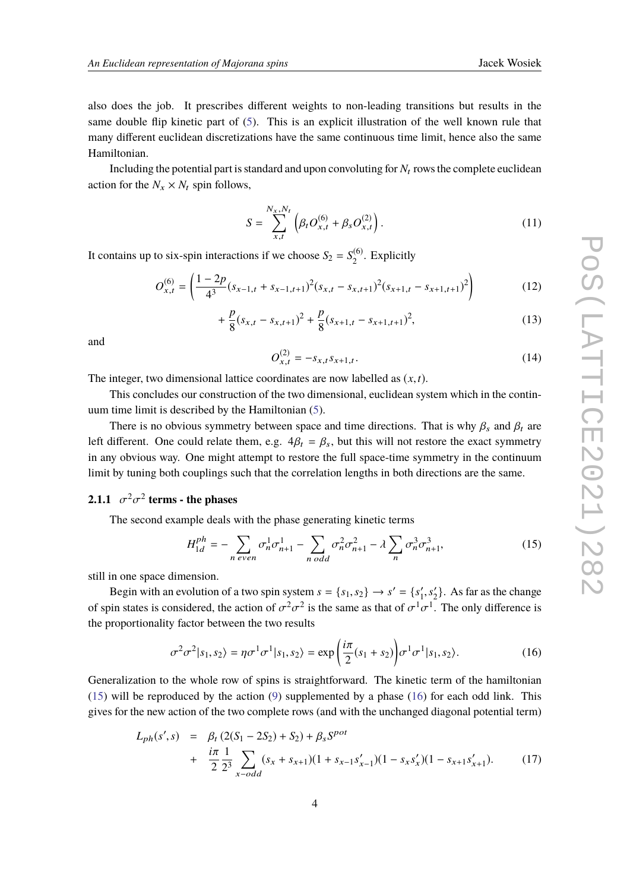also does the job. It prescribes different weights to non-leading transitions but results in the same double flip kinetic part of [\(5\)](#page-2-0). This is an explicit illustration of the well known rule that many different euclidean discretizations have the same continuous time limit, hence also the same Hamiltonian.

Including the potential part is standard and upon convoluting for  $N_t$  rows the complete euclidean action for the  $N_x \times N_t$  spin follows,

$$
S = \sum_{x,t}^{N_x, N_t} \left( \beta_t O_{x,t}^{(6)} + \beta_s O_{x,t}^{(2)} \right).
$$
 (11)

It contains up to six-spin interactions if we choose  $S_2 = S_2^{(6)}$  $\binom{10}{2}$ . Explicitly

$$
O_{x,t}^{(6)} = \left(\frac{1-2p}{4^3}(s_{x-1,t} + s_{x-1,t+1})^2(s_{x,t} - s_{x,t+1})^2(s_{x+1,t} - s_{x+1,t+1})^2\right)
$$
(12)

$$
+\frac{p}{8}(s_{x,t}-s_{x,t+1})^2+\frac{p}{8}(s_{x+1,t}-s_{x+1,t+1})^2,
$$
\n(13)

and

$$
O_{x,t}^{(2)} = -s_{x,t} s_{x+1,t}.
$$
\n(14)

The integer, two dimensional lattice coordinates are now labelled as (*x*,*t*).

This concludes our construction of the two dimensional, euclidean system which in the continuum time limit is described by the Hamiltonian [\(5\)](#page-2-0).

There is no obvious symmetry between space and time directions. That is why  $\beta_s$  and  $\beta_t$  are left different. One could relate them, e.g.  $4\beta_t = \beta_s$ , but this will not restore the exact symmetry in any obvious way. One might attempt to restore the full space-time symmetry in the continuum limit by tuning both couplings such that the correlation lengths in both directions are the same.

# **2.1.1**  $\sigma^2 \sigma^2$  **terms - the phases**

The second example deals with the phase generating kinetic terms

<span id="page-3-0"></span>
$$
H_{1d}^{ph} = -\sum_{n \text{ even}} \sigma_n^1 \sigma_{n+1}^1 - \sum_{n \text{ odd}} \sigma_n^2 \sigma_{n+1}^2 - \lambda \sum_n \sigma_n^3 \sigma_{n+1}^3,
$$
 (15)

still in one space dimension.

Begin with an evolution of a two spin system  $s = \{s_1, s_2\} \rightarrow s' = \{s'_1\}$ <br>in states is considered, the estion of  $\sigma^2 \sim s^2$  is the same as that of  $\sigma^1$ .  $\frac{1}{1}$ ,  $s'_2$  $2$ . As far as the change of spin states is considered, the action of  $\sigma^2 \sigma^2$  is the same as that of  $\sigma^1 \sigma^1$ . The only difference is the approximation of the two secults σ the proportionality factor between the two results

<span id="page-3-1"></span>
$$
\sigma^2 \sigma^2 |s_1, s_2\rangle = \eta \sigma^1 \sigma^1 |s_1, s_2\rangle = \exp\left(\frac{i\pi}{2}(s_1 + s_2)\right) \sigma^1 \sigma^1 |s_1, s_2\rangle. \tag{16}
$$

Generalization to the whole row of spins is straightforward. The kinetic term of the hamiltonian [\(15\)](#page-3-0) will be reproduced by the action [\(9\)](#page-2-1) supplemented by a phase [\(16\)](#page-3-1) for each odd link. This gives for the new action of the two complete rows (and with the unchanged diagonal potential term)

$$
L_{ph}(s', s) = \beta_t (2(S_1 - 2S_2) + S_2) + \beta_s S^{pot}
$$
  
+ 
$$
\frac{i\pi}{2} \frac{1}{2^3} \sum_{x - odd} (s_x + s_{x+1})(1 + s_{x-1} s'_{x-1})(1 - s_x s'_x)(1 - s_{x+1} s'_{x+1}).
$$
 (17)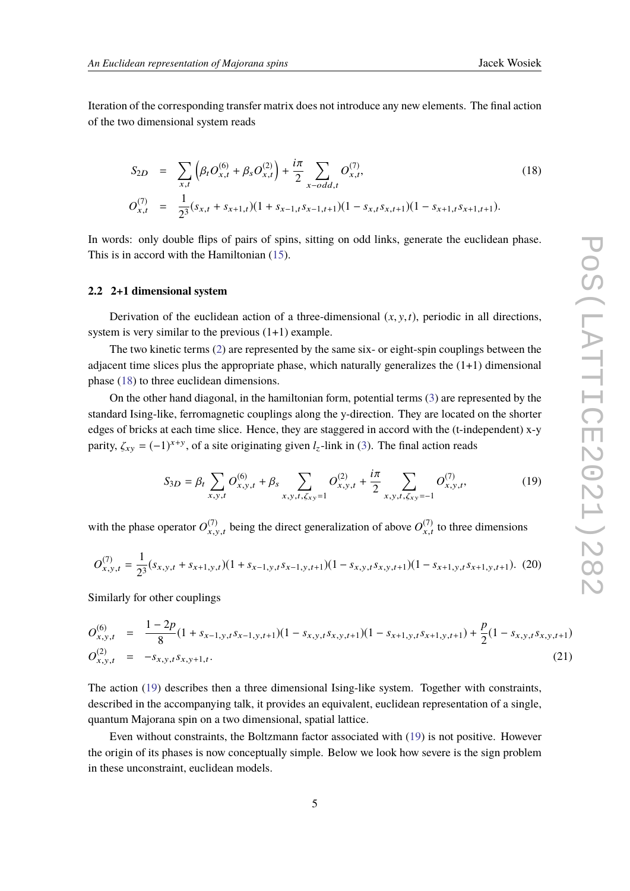Iteration of the corresponding transfer matrix does not introduce any new elements. The final action of the two dimensional system reads

<span id="page-4-0"></span>
$$
S_{2D} = \sum_{x,t} \left( \beta_t O_{x,t}^{(6)} + \beta_s O_{x,t}^{(2)} \right) + \frac{i\pi}{2} \sum_{x-odd,t} O_{x,t}^{(7)},
$$
  
\n
$$
O_{x,t}^{(7)} = \frac{1}{2^3} (s_{x,t} + s_{x+1,t}) (1 + s_{x-1,t} s_{x-1,t+1}) (1 - s_{x,t} s_{x,t+1}) (1 - s_{x+1,t} s_{x+1,t+1}).
$$
\n(18)

In words: only double flips of pairs of spins, sitting on odd links, generate the euclidean phase. This is in accord with the Hamiltonian [\(15\)](#page-3-0).

### **2.2 2+1 dimensional system**

Derivation of the euclidean action of a three-dimensional  $(x, y, t)$ , periodic in all directions, system is very similar to the previous (1+1) example.

The two kinetic terms [\(2\)](#page-1-0) are represented by the same six- or eight-spin couplings between the adjacent time slices plus the appropriate phase, which naturally generalizes the  $(1+1)$  dimensional phase [\(18\)](#page-4-0) to three euclidean dimensions.

On the other hand diagonal, in the hamiltonian form, potential terms [\(3\)](#page-1-0) are represented by the standard Ising-like, ferromagnetic couplings along the y-direction. They are located on the shorter edges of bricks at each time slice. Hence, they are staggered in accord with the (t-independent) x-y parity,  $\zeta_{xy} = (-1)^{x+y}$ , of a site originating given  $l_z$ -link in [\(3\)](#page-1-0). The final action reads

<span id="page-4-1"></span>
$$
S_{3D} = \beta_t \sum_{x,y,t} O_{x,y,t}^{(6)} + \beta_s \sum_{x,y,t,\zeta_{xy}=1} O_{x,y,t}^{(2)} + \frac{i\pi}{2} \sum_{x,y,t,\zeta_{xy}=1} O_{x,y,t}^{(7)}, \qquad (19)
$$

with the phase operator  $O_{x,y}^{(7)}$  $(x_{x,y,t}^{(7)})$  being the direct generalization of above  $O_{x,t}^{(7)}$  $x_{x,t}^{(t)}$  to three dimensions

$$
O_{x,y,t}^{(7)} = \frac{1}{2^3}(s_{x,y,t} + s_{x+1,y,t})(1 + s_{x-1,y,t}s_{x-1,y,t+1})(1 - s_{x,y,t}s_{x,y,t+1})(1 - s_{x+1,y,t}s_{x+1,y,t+1}). \tag{20}
$$

Similarly for other couplings

$$
O_{x,y,t}^{(6)} = \frac{1-2p}{8}(1+s_{x-1,y,t}s_{x-1,y,t+1})(1-s_{x,y,t}s_{x,y,t+1})(1-s_{x+1,y,t}s_{x+1,y,t+1}) + \frac{p}{2}(1-s_{x,y,t}s_{x,y,t+1})
$$
  
\n
$$
O_{x,y,t}^{(2)} = -s_{x,y,t}s_{x,y+1,t}.
$$
\n(21)

The action [\(19\)](#page-4-1) describes then a three dimensional Ising-like system. Together with constraints, described in the accompanying talk, it provides an equivalent, euclidean representation of a single, quantum Majorana spin on a two dimensional, spatial lattice.

Even without constraints, the Boltzmann factor associated with [\(19\)](#page-4-1) is not positive. However the origin of its phases is now conceptually simple. Below we look how severe is the sign problem in these unconstraint, euclidean models.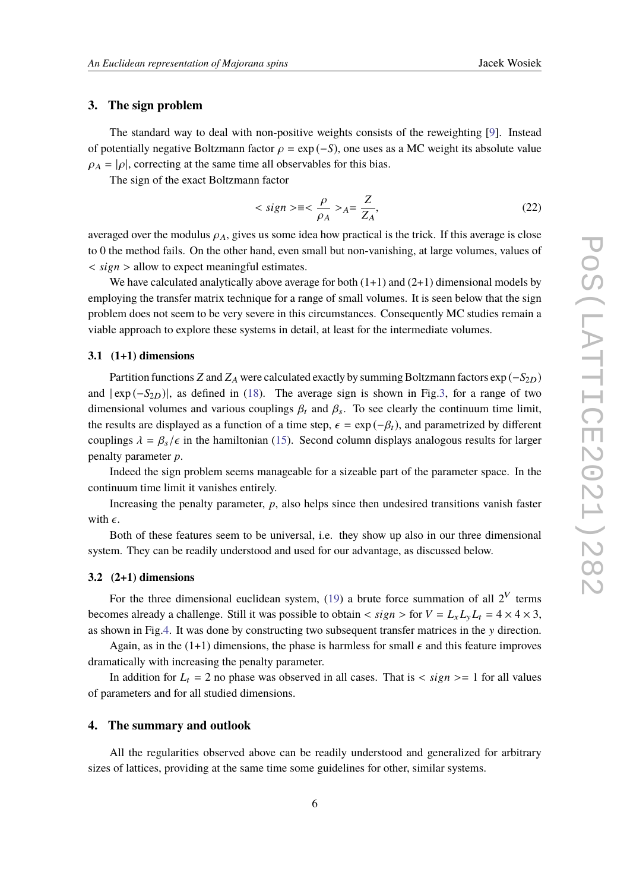### **3. The sign problem**

The standard way to deal with non-positive weights consists of the reweighting [\[9\]](#page-8-8). Instead of potentially negative Boltzmann factor  $\rho = \exp(-S)$ , one uses as a MC weight its absolute value  $\rho_A = |\rho|$ , correcting at the same time all observables for this bias.

The sign of the exact Boltzmann factor

$$
\langle \text{sign} \rangle \equiv \langle \frac{\rho}{\rho_A} \rangle_A = \frac{Z}{Z_A},\tag{22}
$$

averaged over the modulus  $\rho_A$ , gives us some idea how practical is the trick. If this average is close to 0 the method fails. On the other hand, even small but non-vanishing, at large volumes, values of < *si*g*<sup>n</sup>* > allow to expect meaningful estimates.

We have calculated analytically above average for both  $(1+1)$  and  $(2+1)$  dimensional models by employing the transfer matrix technique for a range of small volumes. It is seen below that the sign problem does not seem to be very severe in this circumstances. Consequently MC studies remain a viable approach to explore these systems in detail, at least for the intermediate volumes.

### **3.1 (1+1) dimensions**

Partition functions *Z* and  $Z_A$  were calculated exactly by summing Boltzmann factors  $\exp(-S_{2D})$ and  $| \exp(-S_{2D})|$ , as defined in [\(18\)](#page-4-0). The average sign is shown in Fig[.3,](#page-6-0) for a range of two dimensional volumes and various couplings  $\beta_t$  and  $\beta_s$ . To see clearly the continuum time limit, the results are displayed as a function of a time step,  $\epsilon = \exp(-\beta_t)$ , and parametrized by different couplings  $\lambda = \beta_s/\epsilon$  in the hamiltonian [\(15\)](#page-3-0). Second column displays analogous results for larger penalty parameter *p*.

Indeed the sign problem seems manageable for a sizeable part of the parameter space. In the continuum time limit it vanishes entirely.

Increasing the penalty parameter, *p*, also helps since then undesired transitions vanish faster with  $\epsilon$ .

Both of these features seem to be universal, i.e. they show up also in our three dimensional system. They can be readily understood and used for our advantage, as discussed below.

### **3.2 (2+1) dimensions**

For the three dimensional euclidean system, [\(19\)](#page-4-1) a brute force summation of all  $2^V$  terms becomes already a challenge. Still it was possible to obtain  $\langle$  sign  $\rangle$  for  $V = L_x L_y L_t = 4 \times 4 \times 3$ , as shown in Fig[.4.](#page-7-0) It was done by constructing two subsequent transfer matrices in the y direction.

Again, as in the (1+1) dimensions, the phase is harmless for small  $\epsilon$  and this feature improves dramatically with increasing the penalty parameter.

In addition for  $L_t = 2$  no phase was observed in all cases. That is  $\langle$  sign  $\rangle = 1$  for all values of parameters and for all studied dimensions.

## **4. The summary and outlook**

All the regularities observed above can be readily understood and generalized for arbitrary sizes of lattices, providing at the same time some guidelines for other, similar systems.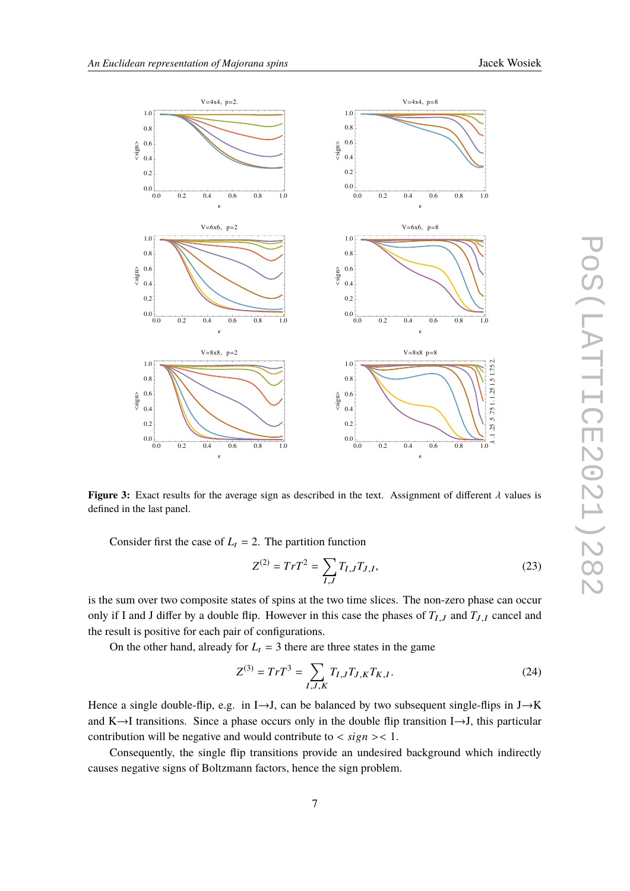

<span id="page-6-0"></span>

**Figure 3:** Exact results for the average sign as described in the text. Assignment of different  $\lambda$  values is defined in the last panel.

Consider first the case of  $L_t = 2$ . The partition function

$$
Z^{(2)} = TrT^2 = \sum_{I,J} T_{I,J} T_{J,I},
$$
\n(23)

is the sum over two composite states of spins at the two time slices. The non-zero phase can occur only if I and J differ by a double flip. However in this case the phases of  $T_{I,J}$  and  $T_{J,I}$  cancel and the result is positive for each pair of configurations.

On the other hand, already for  $L_t = 3$  there are three states in the game

$$
Z^{(3)} = TrT^3 = \sum_{I,J,K} T_{I,J} T_{J,K} T_{K,I}.
$$
 (24)

Hence a single double-flip, e.g. in I $\rightarrow$ J, can be balanced by two subsequent single-flips in J $\rightarrow$ K and K $\rightarrow$ I transitions. Since a phase occurs only in the double flip transition I $\rightarrow$ J, this particular contribution will be negative and would contribute to  $\langle sign \rangle < 1$ .

Consequently, the single flip transitions provide an undesired background which indirectly causes negative signs of Boltzmann factors, hence the sign problem.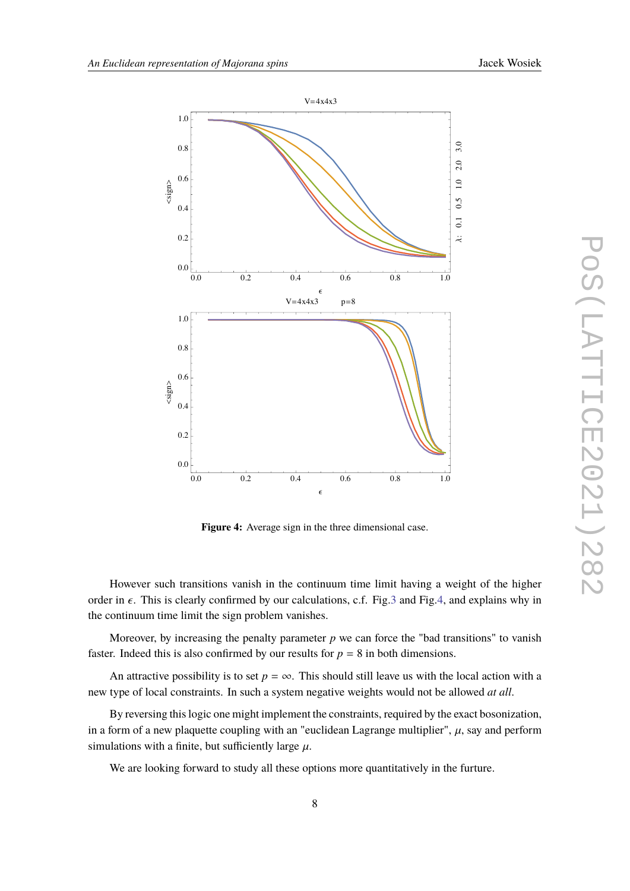<span id="page-7-0"></span>

Figure 4: Average sign in the three dimensional case.

However such transitions vanish in the continuum time limit having a weight of the higher order in  $\epsilon$ . This is clearly confirmed by our calculations, c.f. Fig.3 and Fig.4, and explains why in the continuum time limit the sign problem vanishes.

Moreover, by increasing the penalty parameter  $p$  we can force the "bad transitions" to vanish faster. Indeed this is also confirmed by our results for  $p = 8$  in both dimensions.

An attractive possibility is to set  $p = \infty$ . This should still leave us with the local action with a new type of local constraints. In such a system negative weights would not be allowed at all.

By reversing this logic one might implement the constraints, required by the exact bosonization, in a form of a new plaquette coupling with an "euclidean Lagrange multiplier",  $\mu$ , say and perform simulations with a finite, but sufficiently large  $\mu$ .

We are looking forward to study all these options more quantitatively in the furture.